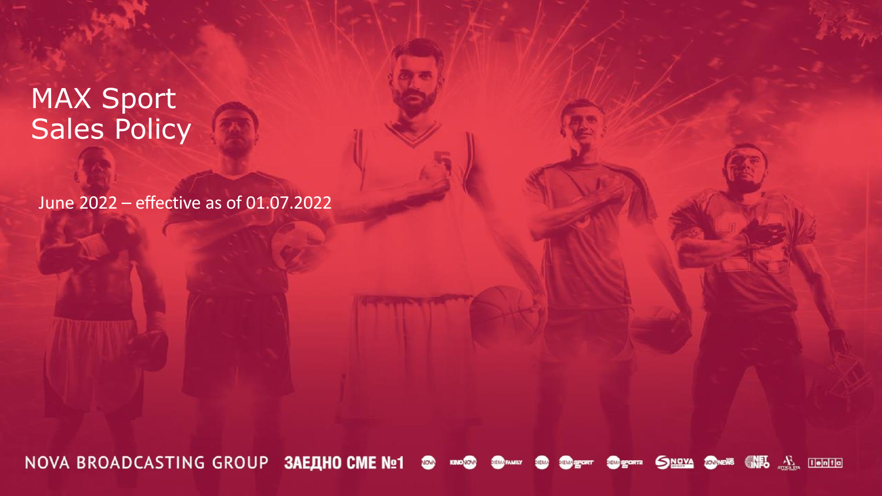# MAX Sport Sales Policy

June 2022 – effective as of 01.07.2022

NOVA BROADCASTING GROUP 3AEAHO CME Nº1 SNOVA **SOMEWS** WHO AN ILLETING NOW **KINONOW DIEMA FAMILY DIEMA SHAM SPORT JEM SPORTE**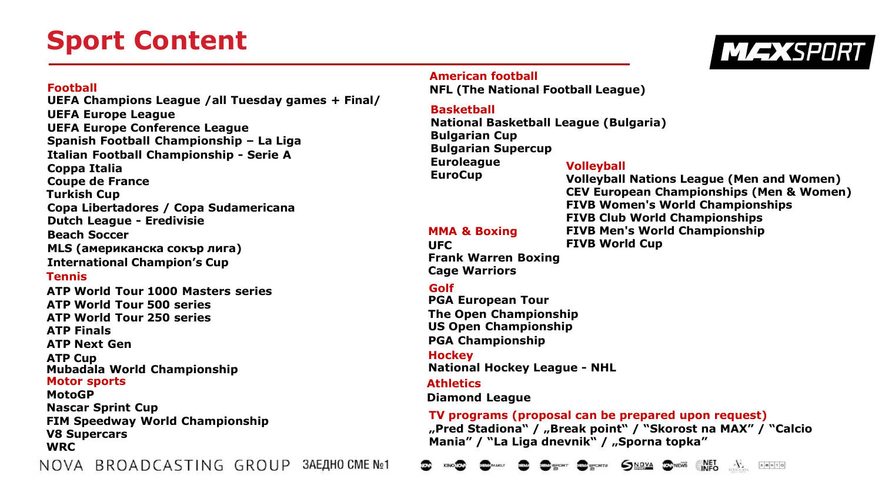# **Sport Content**



#### **Football**

**UEFA Champions League /all Tuesday games + Final/ UEFA Europe League UEFA Europe Conference League Spanish Football Championship – La Liga Italian Football Championship - Serie A Coppa Italia Coupe de France Turkish Cup Copa Libertadores / Copa Sudamericana Dutch League - Eredivisie Beach Soccer MLS (американска сокър лига) International Champion's Cup Tennis ATP World Tour 1000 Masters series ATP World Tour 500 series ATP World Tour 250 series ATP Finals ATP Next Gen ATP Cup Mubadala World Championship Motor sports MotoGP Nascar Sprint Cup FIM Speedway World Championship V8 Supercars WRC** NOVA BROADCASTING GROUP ЗАЕДНО СМЕ №1

#### **American football**

**NFL (The National Football League)** 

## **Basketball**

**National Basketball League (Bulgaria) Bulgarian Cup Bulgarian Supercup Euroleague**

**EuroCup**

**MMA & Boxing**

### **Volleyball**

**Volleyball Nations League (Men and Women) CEV European Championships (Men & Women) FIVB Women's World Championships FIVB Club World Championships FIVB Men's World Championship FIVB World Cup**

**UFC Frank Warren Boxing Cage Warriors**

### **Golf**

**PGA European Tour The Open Championship US Open Championship PGA Championship**

### **Hockey**

**National Hockey League - NHL**

### **Athletics**

**Diamond League**

## **TV programs (proposal can be prepared upon request)**

**"Pred Stadiona" / "Break point" / "Skorost na MAX" / "Calcio Mania" / "La Liga dnevnik" / "Sporna topka"** 

SNOVA **EDNEWS** NET  $\mathcal{F}$ **MEM** SPORTS лента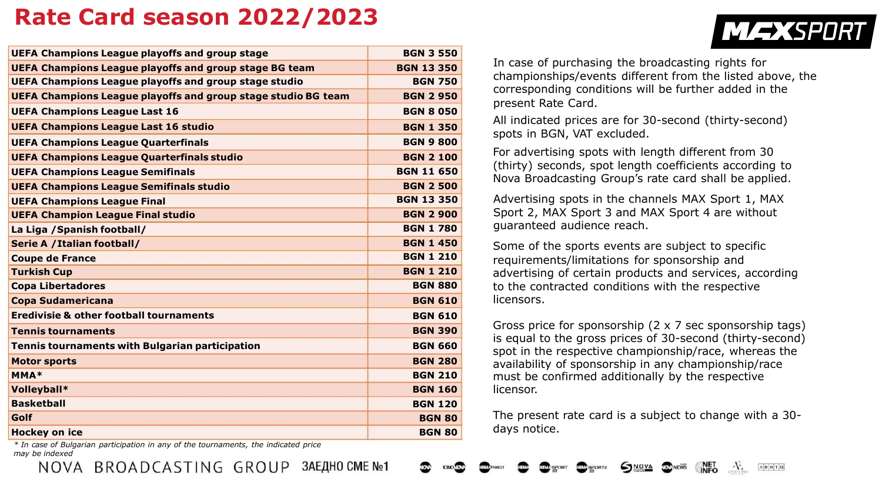## **Rate Card season 2022/2023**

| <b>UEFA Champions League playoffs and group stage</b>         | <b>BGN 3 550</b>  |
|---------------------------------------------------------------|-------------------|
| <b>UEFA Champions League playoffs and group stage BG team</b> | <b>BGN 13 350</b> |
| <b>UEFA Champions League playoffs and group stage studio</b>  | <b>BGN 750</b>    |
| UEFA Champions League playoffs and group stage studio BG team | <b>BGN 2 950</b>  |
| <b>UEFA Champions League Last 16</b>                          | <b>BGN 8 050</b>  |
| <b>UEFA Champions League Last 16 studio</b>                   | <b>BGN 1 350</b>  |
| <b>UEFA Champions League Quarterfinals</b>                    | <b>BGN 9 800</b>  |
| <b>UEFA Champions League Quarterfinals studio</b>             | <b>BGN 2 100</b>  |
| <b>UEFA Champions League Semifinals</b>                       | <b>BGN 11 650</b> |
| <b>UEFA Champions League Semifinals studio</b>                | <b>BGN 2 500</b>  |
| <b>UEFA Champions League Final</b>                            | <b>BGN 13 350</b> |
| <b>UEFA Champion League Final studio</b>                      | <b>BGN 2 900</b>  |
| La Liga / Spanish football/                                   | <b>BGN 1780</b>   |
| <b>Serie A / Italian football/</b>                            | <b>BGN 1 450</b>  |
| <b>Coupe de France</b>                                        | <b>BGN 1 210</b>  |
| <b>Turkish Cup</b>                                            | <b>BGN 1 210</b>  |
| <b>Copa Libertadores</b>                                      | <b>BGN 880</b>    |
| <b>Copa Sudamericana</b>                                      | <b>BGN 610</b>    |
| <b>Eredivisie &amp; other football tournaments</b>            | <b>BGN 610</b>    |
| <b>Tennis tournaments</b>                                     | <b>BGN 390</b>    |
| Tennis tournaments with Bulgarian participation               | <b>BGN 660</b>    |
| <b>Motor sports</b>                                           | <b>BGN 280</b>    |
| <b>MMA*</b>                                                   | <b>BGN 210</b>    |
| Volleyball*                                                   | <b>BGN 160</b>    |
| <b>Basketball</b>                                             | <b>BGN 120</b>    |
| Golf                                                          | <b>BGN 80</b>     |
| <b>Hockey on ice</b>                                          | <b>BGN 80</b>     |
| $\sim$ $\cdot$ $\cdot$                                        |                   |

In case of purchasing the broadcasting rights for championships/events different from the listed above, the corresponding conditions will be further added in the present Rate Card.

**MEXSPORT** 

All indicated prices are for 30-second (thirty-second) spots in BGN, VAT excluded.

For advertising spots with length different from 30 (thirty) seconds, spot length coefficients according to Nova Broadcasting Group's rate card shall be applied.

Advertising spots in the channels MAX Sport 1, MAX Sport 2, MAX Sport 3 and MAX Sport 4 are without guaranteed audience reach.

Some of the sports events are subject to specific requirements/limitations for sponsorship and advertising of certain products and services, according to the contracted conditions with the respective licensors.

Gross price for sponsorship (2 х 7 sec sponsorship tags) is equal to the gross prices of 30-second (thirty-second) spot in the respective championship/race, whereas the availability of sponsorship in any championship/race must be confirmed additionally by the respective licensor.

The present rate card is a subject to change with a 30 days notice.

*\* In case of Bulgarian participation in any of the tournaments, the indicated price may be indexed*

NOVA BROADCASTING GROUP 3AEAHOCMENΩ1

#### $\mathcal{F}$ NOVA **JOUNEWS**  $\land$   $\theta$   $\mid$   $\mid$   $\mid$   $\mid$   $\mid$   $\mid$   $\mid$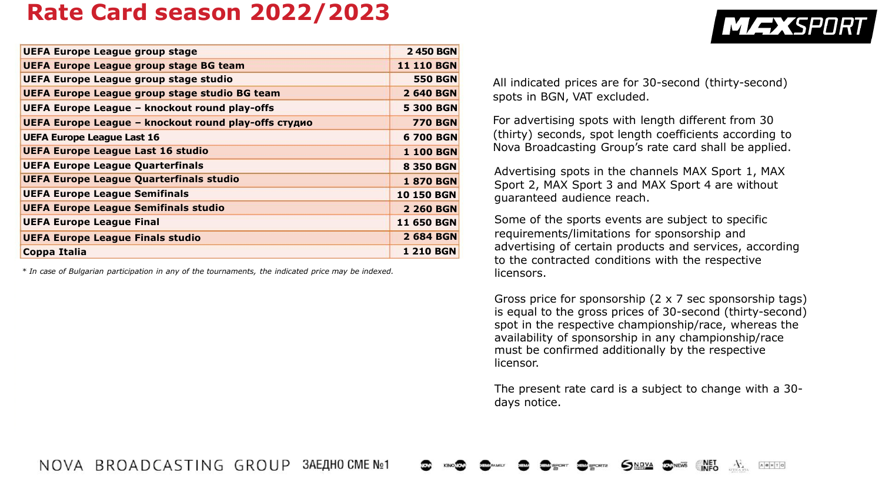## **Rate Card season 2022/2023**

| <b>2 450 BGN</b><br><b>11 110 BGN</b><br><b>550 BGN</b><br>2 640 BGN |
|----------------------------------------------------------------------|
|                                                                      |
|                                                                      |
|                                                                      |
|                                                                      |
| <b>5 300 BGN</b>                                                     |
| <b>770 BGN</b>                                                       |
| 6 700 BGN                                                            |
| <b>1 100 BGN</b>                                                     |
| <b>8 350 BGN</b>                                                     |
| <b>1870 BGN</b>                                                      |
| <b>10 150 BGN</b>                                                    |
| <b>2 260 BGN</b>                                                     |
| <b>11 650 BGN</b>                                                    |
| 2 684 BGN                                                            |
| <b>1210 BGN</b>                                                      |
|                                                                      |

*\* In case of Bulgarian participation in any of the tournaments, the indicated price may be indexed.*

All indicated prices are for 30-second (thirty-second) spots in BGN, VAT excluded.

For advertising spots with length different from 30 (thirty) seconds, spot length coefficients according to Nova Broadcasting Group's rate card shall be applied.

Advertising spots in the channels MAX Sport 1, MAX Sport 2, MAX Sport 3 and MAX Sport 4 are without guaranteed audience reach.

Some of the sports events are subject to specific requirements/limitations for sponsorship and advertising of certain products and services, according to the contracted conditions with the respective licensors.

Gross price for sponsorship (2 х 7 sec sponsorship tags) is equal to the gross prices of 30-second (thirty-second) spot in the respective championship/race, whereas the availability of sponsorship in any championship/race must be confirmed additionally by the respective licensor.

The present rate card is a subject to change with a 30 days notice.



**MEXSPORT**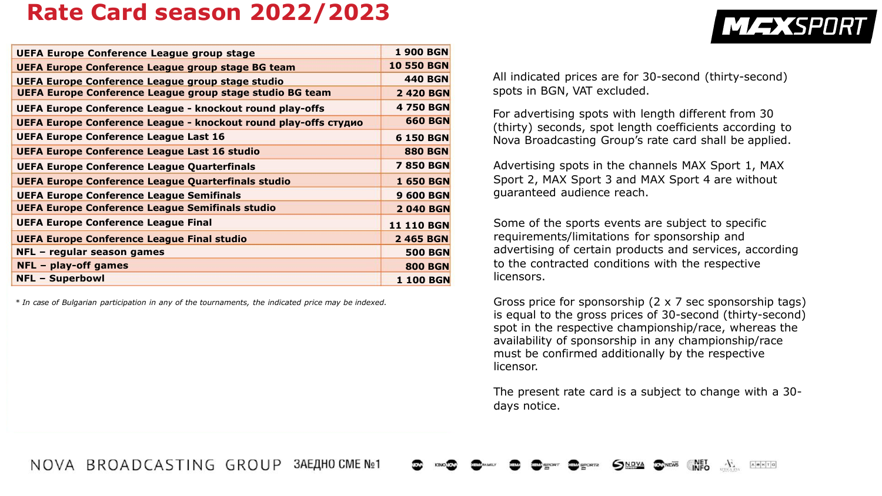## **Rate Card season 2022/2023**

| <b>UEFA Europe Conference League group stage</b>                | <b>1 900 BGN</b>  |
|-----------------------------------------------------------------|-------------------|
| <b>UEFA Europe Conference League group stage BG team</b>        | <b>10 550 BGN</b> |
| UEFA Europe Conference League group stage studio                | <b>440 BGN</b>    |
| <b>UEFA Europe Conference League group stage studio BG team</b> | <b>2 420 BGN</b>  |
| UEFA Europe Conference League - knockout round play-offs        | <b>4750 BGN</b>   |
| UEFA Europe Conference League - knockout round play-offs студио | <b>660 BGN</b>    |
| <b>UEFA Europe Conference League Last 16</b>                    | <b>6 150 BGN</b>  |
| UEFA Europe Conference League Last 16 studio                    | <b>880 BGN</b>    |
| <b>UEFA Europe Conference League Quarterfinals</b>              | <b>7 850 BGN</b>  |
| <b>UEFA Europe Conference League Quarterfinals studio</b>       | <b>1 650 BGN</b>  |
| <b>UEFA Europe Conference League Semifinals</b>                 | <b>9 600 BGN</b>  |
| <b>UEFA Europe Conference League Semifinals studio</b>          | <b>2040 BGN</b>   |
| <b>UEFA Europe Conference League Final</b>                      | <b>11 110 BGN</b> |
| <b>UEFA Europe Conference League Final studio</b>               | 2 465 BGN         |
| NFL - regular season games                                      | <b>500 BGN</b>    |
| $NFL$ – play-off games                                          | <b>800 BGN</b>    |
| <b>NFL - Superbowl</b>                                          | <b>1 100 BGN</b>  |

*\* In case of Bulgarian participation in any of the tournaments, the indicated price may be indexed.*

All indicated prices are for 30-second (thirty-second) spots in BGN, VAT excluded.

**MEXSPORT** 

For advertising spots with length different from 30 (thirty) seconds, spot length coefficients according to Nova Broadcasting Group's rate card shall be applied.

Advertising spots in the channels MAX Sport 1, MAX Sport 2, MAX Sport 3 and MAX Sport 4 are without guaranteed audience reach.

Some of the sports events are subject to specific requirements/limitations for sponsorship and advertising of certain products and services, according to the contracted conditions with the respective licensors.

Gross price for sponsorship (2 х 7 sec sponsorship tags) is equal to the gross prices of 30-second (thirty-second) spot in the respective championship/race, whereas the availability of sponsorship in any championship/race must be confirmed additionally by the respective licensor.

The present rate card is a subject to change with a 30 days notice.

 $\mathcal{F}$ 

лента

NOVA BROADCASTING GROUP 3AEAHO CME No1